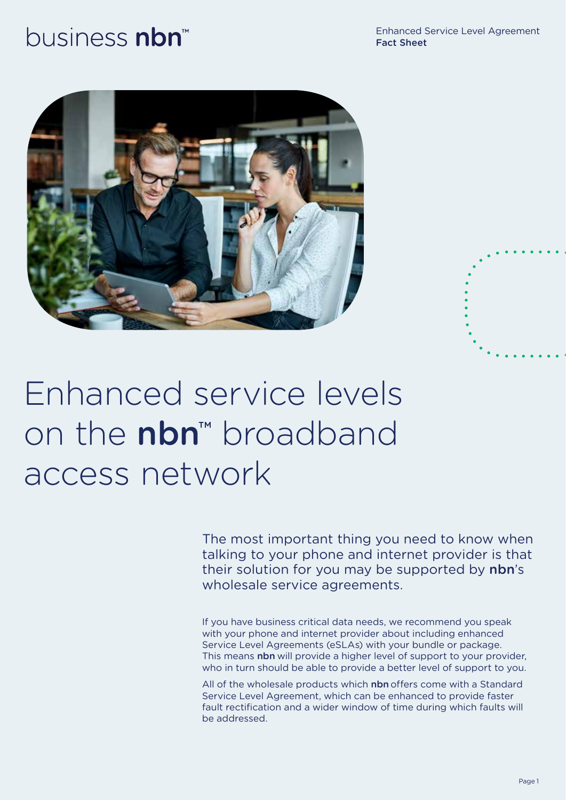# business nbn<sup>™</sup>

Enhanced Service Level Agreement Fact Sheet





The most important thing you need to know when talking to your phone and internet provider is that their solution for you may be supported by nbn's wholesale service agreements.

If you have business critical data needs, we recommend you speak with your phone and internet provider about including enhanced Service Level Agreements (eSLAs) with your bundle or package. This means nbn will provide a higher level of support to your provider, who in turn should be able to provide a better level of support to you.

All of the wholesale products which nbn offers come with a Standard Service Level Agreement, which can be enhanced to provide faster fault rectification and a wider window of time during which faults will be addressed.